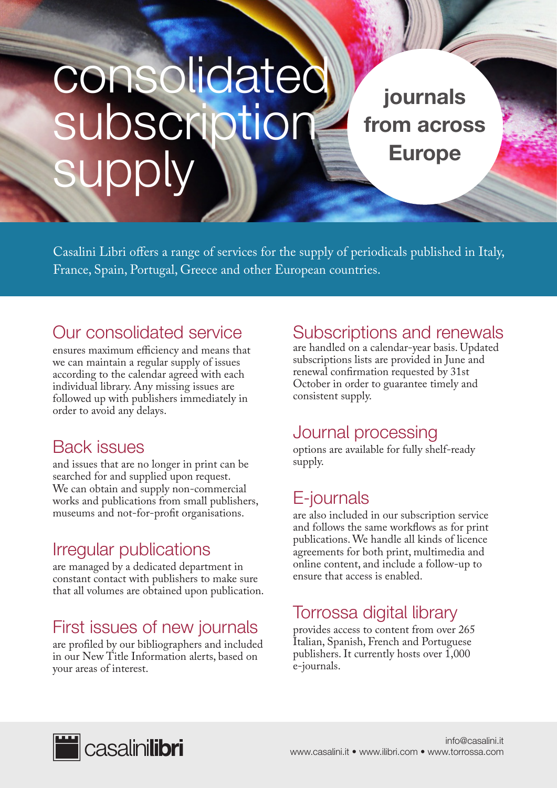# consolidated subscription supply

journals from across Europe

Casalini Libri offers a range of services for the supply of periodicals published in Italy, France, Spain, Portugal, Greece and other European countries.

# Our consolidated service

ensures maximum efficiency and means that we can maintain a regular supply of issues according to the calendar agreed with each individual library. Any missing issues are followed up with publishers immediately in order to avoid any delays.

# Back issues

and issues that are no longer in print can be searched for and supplied upon request. We can obtain and supply non-commercial works and publications from small publishers, museums and not-for-profit organisations.

# Irregular publications

are managed by a dedicated department in constant contact with publishers to make sure that all volumes are obtained upon publication.

# First issues of new journals

are profiled by our bibliographers and included in our New Title Information alerts, based on your areas of interest.

## Subscriptions and renewals

are handled on a calendar-year basis. Updated subscriptions lists are provided in June and renewal confirmation requested by 31st October in order to guarantee timely and consistent supply.

#### Journal processing

options are available for fully shelf-ready supply.

# E-journals

are also included in our subscription service and follows the same workflows as for print publications. We handle all kinds of licence agreements for both print, multimedia and online content, and include a follow-up to ensure that access is enabled.

# Torrossa digital library

provides access to content from over 265 Italian, Spanish, French and Portuguese publishers. It currently hosts over 1,000 e-journals.